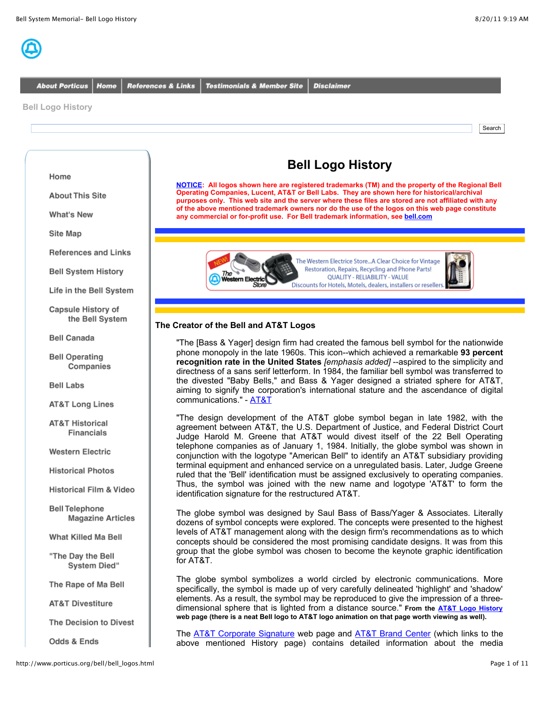

**About Porticus** Home **References & Links Testimonials & Member Site** 

**Disclaimer** 

**Bell Logo History**

Search

# **Bell Logo History**

**NOTICE: All logos shown here are registered trademarks (TM) and the property of the Regional Bell Operating Companies, Lucent, AT&T or Bell Labs. They are shown here for historical/archival purposes only. This web site and the server where these files are stored are not affiliated with any of the above mentioned trademark owners nor do the use of the logos on this web page constitute any commercial or for-profit use. For Bell trademark information, see bell.com**



# **The Creator of the Bell and AT&T Logos**

"The [Bass & Yager] design firm had created the famous bell symbol for the nationwide phone monopoly in the late 1960s. This icon--which achieved a remarkable **93 percent recognition rate in the United States** *[emphasis added]* --aspired to the simplicity and directness of a sans serif letterform. In 1984, the familiar bell symbol was transferred to the divested "Baby Bells," and Bass & Yager designed a striated sphere for AT&T, aiming to signify the corporation's international stature and the ascendance of digital communications." - AT&T

"The design development of the AT&T globe symbol began in late 1982, with the agreement between AT&T, the U.S. Department of Justice, and Federal District Court Judge Harold M. Greene that AT&T would divest itself of the 22 Bell Operating telephone companies as of January 1, 1984. Initially, the globe symbol was shown in conjunction with the logotype "American Bell" to identify an AT&T subsidiary providing terminal equipment and enhanced service on a unregulated basis. Later, Judge Greene ruled that the 'Bell' identification must be assigned exclusively to operating companies. Thus, the symbol was joined with the new name and logotype 'AT&T' to form the identification signature for the restructured AT&T.

The globe symbol was designed by Saul Bass of Bass/Yager & Associates. Literally dozens of symbol concepts were explored. The concepts were presented to the highest levels of AT&T management along with the design firm's recommendations as to which concepts should be considered the most promising candidate designs. It was from this group that the globe symbol was chosen to become the keynote graphic identification for AT&T.

The globe symbol symbolizes a world circled by electronic communications. More specifically, the symbol is made up of very carefully delineated 'highlight' and 'shadow' elements. As a result, the symbol may be reproduced to give the impression of a threedimensional sphere that is lighted from a distance source." **From the AT&T Logo History web page (there is a neat Bell logo to AT&T logo animation on that page worth viewing as well).**

The AT&T Corporate Signature web page and AT&T Brand Center (which links to the above mentioned History page) contains detailed information about the media

Home

**About This Site** 

**What's New** 

Site Map

**References and Links** 

**Bell System History** 

Life in the Bell System

Capsule History of the Bell System

**Bell Canada** 

**Bell Operating** Companies

**Bell Labs** 

**AT&T Long Lines** 

**AT&T Historical Financials** 

**Western Electric** 

**Historical Photos** 

**Historical Film & Video** 

**Bell Telephone Magazine Articles** 

What Killed Ma Bell

"The Day the Bell System Died"

The Rape of Ma Bell

**AT&T Divestiture** 

The Decision to Divest

Odds & Ends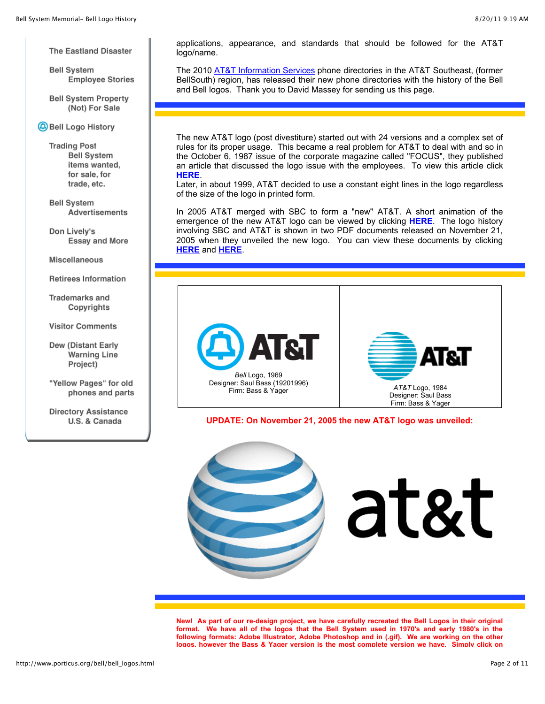The Eastland Disaster

**Bell System Employee Stories** 

**Bell System Property** (Not) For Sale

Bell Logo History

**Trading Post Bell System** items wanted. for sale, for trade, etc.

**Bell System Advertisements** 

Don Lively's **Essay and More** 

Miscellaneous

**Retirees Information** 

Trademarks and Copyrights

**Visitor Comments** 

Dew (Distant Early **Warning Line** Project)

"Yellow Pages" for old phones and parts

**Directory Assistance** U.S. & Canada

applications, appearance, and standards that should be followed for the AT&T logo/name.

The 2010 AT&T Information Services phone directories in the AT&T Southeast, (former BellSouth) region, has released their new phone directories with the history of the Bell and Bell logos. Thank you to David Massey for sending us this page.

The new AT&T logo (post divestiture) started out with 24 versions and a complex set of rules for its proper usage. This became a real problem for AT&T to deal with and so in the October 6, 1987 issue of the corporate magazine called "FOCUS", they published an article that discussed the logo issue with the employees. To view this article click **HERE**.

Later, in about 1999, AT&T decided to use a constant eight lines in the logo regardless of the size of the logo in printed form.

In 2005 AT&T merged with SBC to form a "new" AT&T. A short animation of the emergence of the new AT&T logo can be viewed by clicking **HERE**. The logo history involving SBC and AT&T is shown in two PDF documents released on November 21, 2005 when they unveiled the new logo. You can view these documents by clicking **HERE** and **HERE**.



**UPDATE: On November 21, 2005 the new AT&T logo was unveiled:**



**New! As part of our re-design project, we have carefully recreated the Bell Logos in their original format. We have all of the logos that the Bell System used in 1970's and early 1980's in the following formats: Adobe Illustrator, Adobe Photoshop and in (.gif). We are working on the other logos, however the Bass & Yager version is the most complete version we have. Simply click on**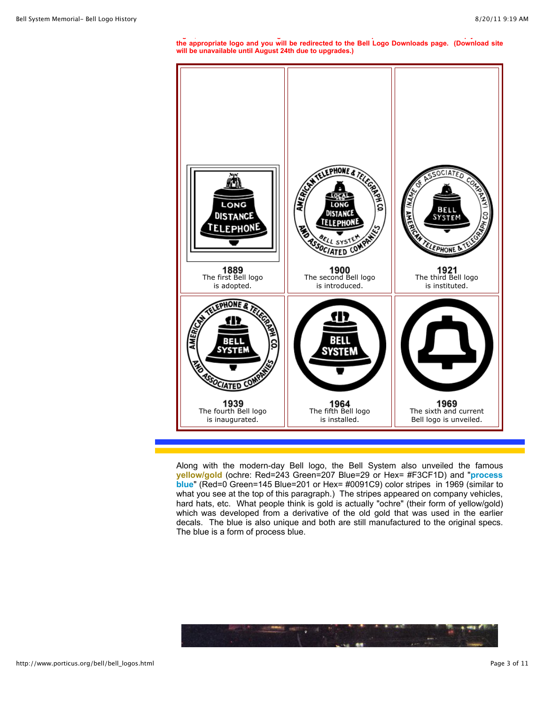**logos, however the Bass & Yager version is the most complete version we have. Simply click on the appropriate logo and you will be redirected to the Bell Logo Downloads page. (Download site will be unavailable until August 24th due to upgrades.)**



Along with the modern-day Bell logo, the Bell System also unveiled the famous **yellow/gold** (ochre: Red=243 Green=207 Blue=29 or Hex= #F3CF1D) and "**process blue**" (Red=0 Green=145 Blue=201 or Hex= #0091C9) color stripes in 1969 (similar to what you see at the top of this paragraph.) The stripes appeared on company vehicles, hard hats, etc. What people think is gold is actually "ochre" (their form of yellow/gold) which was developed from a derivative of the old gold that was used in the earlier decals. The blue is also unique and both are still manufactured to the original specs. The blue is a form of process blue.

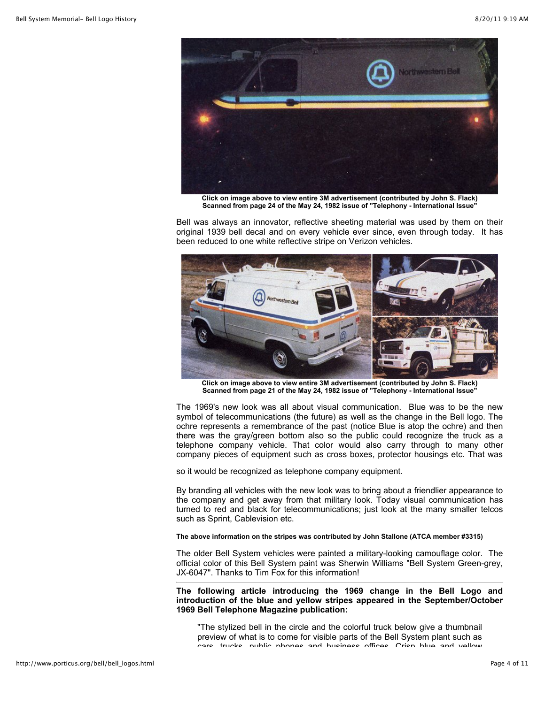

**Click on image above to view entire 3M advertisement (contributed by John S. Flack) Scanned from page 24 of the May 24, 1982 issue of "Telephony - International Issue"**

Bell was always an innovator, reflective sheeting material was used by them on their original 1939 bell decal and on every vehicle ever since, even through today. It has been reduced to one white reflective stripe on Verizon vehicles.



**Click on image above to view entire 3M advertisement (contributed by John S. Flack) Scanned from page 21 of the May 24, 1982 issue of "Telephony - International Issue"**

The 1969's new look was all about visual communication. Blue was to be the new symbol of telecommunications (the future) as well as the change in the Bell logo. The ochre represents a remembrance of the past (notice Blue is atop the ochre) and then there was the gray/green bottom also so the public could recognize the truck as a telephone company vehicle. That color would also carry through to many other company pieces of equipment such as cross boxes, protector housings etc. That was

so it would be recognized as telephone company equipment.

By branding all vehicles with the new look was to bring about a friendlier appearance to the company and get away from that military look. Today visual communication has turned to red and black for telecommunications; just look at the many smaller telcos such as Sprint, Cablevision etc.

## **The above information on the stripes was contributed by John Stallone (ATCA member #3315)**

The older Bell System vehicles were painted a military-looking camouflage color. The official color of this Bell System paint was Sherwin Williams "Bell System Green-grey, JX-6047". Thanks to Tim Fox for this information!

**The following article introducing the 1969 change in the Bell Logo and introduction of the blue and yellow stripes appeared in the September/October 1969 Bell Telephone Magazine publication:**

"The stylized bell in the circle and the colorful truck below give a thumbnail preview of what is to come for visible parts of the Bell System plant such as care trucke nublic phones and business offices. Crisp blue and vellow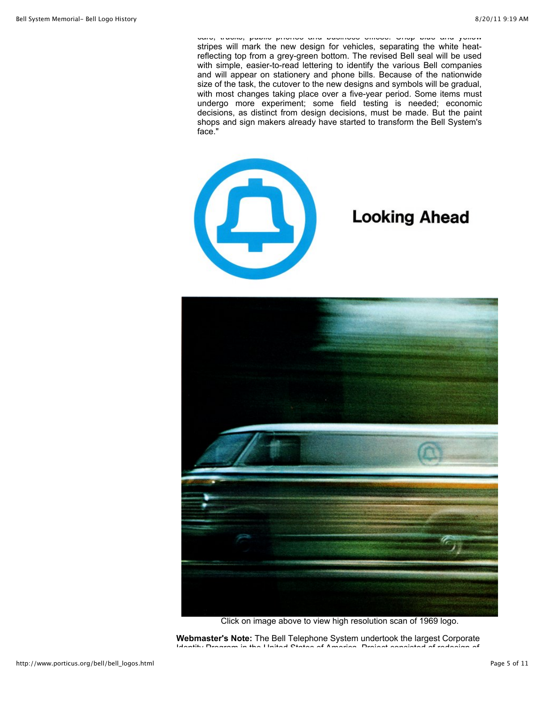vars, trucks, public phones and business offices. Crisp blue and yellow stripes will mark the new design for vehicles, separating the white heatreflecting top from a grey-green bottom. The revised Bell seal will be used with simple, easier-to-read lettering to identify the various Bell companies and will appear on stationery and phone bills. Because of the nationwide size of the task, the cutover to the new designs and symbols will be gradual, with most changes taking place over a five-year period. Some items must undergo more experiment; some field testing is needed; economic decisions, as distinct from design decisions, must be made. But the paint shops and sign makers already have started to transform the Bell System's face."



# **Looking Ahead**



Click on image above to view high resolution scan of 1969 logo.

**Webmaster's Note:** The Bell Telephone System undertook the largest Corporate Identity Program in the United States of America. Project consisted of redesign of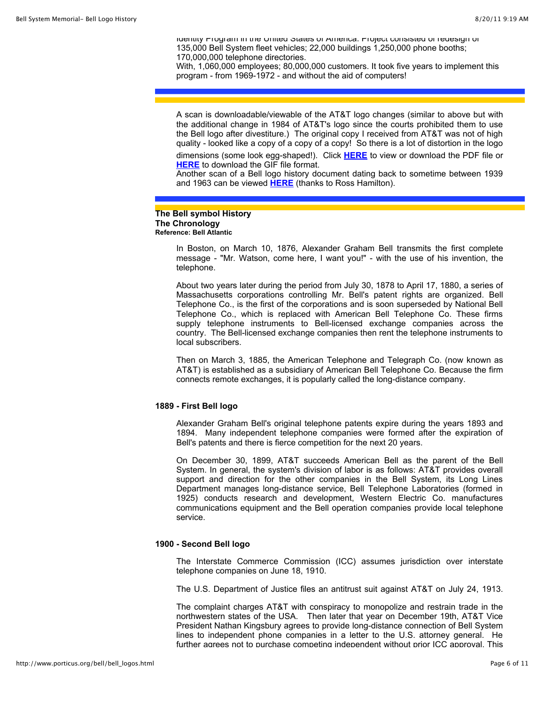Identity Program in the United States of America. Project consisted of redesign of 135,000 Bell System fleet vehicles; 22,000 buildings 1,250,000 phone booths; 170,000,000 telephone directories.

With, 1,060,000 employees; 80,000,000 customers. It took five years to implement this program - from 1969-1972 - and without the aid of computers!

A scan is downloadable/viewable of the AT&T logo changes (similar to above but with the additional change in 1984 of AT&T's logo since the courts prohibited them to use the Bell logo after divestiture.) The original copy I received from AT&T was not of high quality - looked like a copy of a copy of a copy! So there is a lot of distortion in the logo

dimensions (some look egg-shaped!). Click **HERE** to view or download the PDF file or **HERE** to download the GIF file format.

Another scan of a Bell logo history document dating back to sometime between 1939 and 1963 can be viewed **HERE** (thanks to Ross Hamilton).

#### **The Bell symbol History The Chronology Reference: Bell Atlantic**

In Boston, on March 10, 1876, Alexander Graham Bell transmits the first complete message - "Mr. Watson, come here, I want you!" - with the use of his invention, the telephone.

About two years later during the period from July 30, 1878 to April 17, 1880, a series of Massachusetts corporations controlling Mr. Bell's patent rights are organized. Bell Telephone Co., is the first of the corporations and is soon superseded by National Bell Telephone Co., which is replaced with American Bell Telephone Co. These firms supply telephone instruments to Bell-licensed exchange companies across the country. The Bell-licensed exchange companies then rent the telephone instruments to local subscribers.

Then on March 3, 1885, the American Telephone and Telegraph Co. (now known as AT&T) is established as a subsidiary of American Bell Telephone Co. Because the firm connects remote exchanges, it is popularly called the long-distance company.

#### **1889 - First Bell logo**

Alexander Graham Bell's original telephone patents expire during the years 1893 and 1894. Many independent telephone companies were formed after the expiration of Bell's patents and there is fierce competition for the next 20 years.

On December 30, 1899, AT&T succeeds American Bell as the parent of the Bell System. In general, the system's division of labor is as follows: AT&T provides overall support and direction for the other companies in the Bell System, its Long Lines Department manages long-distance service, Bell Telephone Laboratories (formed in 1925) conducts research and development, Western Electric Co. manufactures communications equipment and the Bell operation companies provide local telephone service.

### **1900 - Second Bell logo**

The Interstate Commerce Commission (ICC) assumes jurisdiction over interstate telephone companies on June 18, 1910.

The U.S. Department of Justice files an antitrust suit against AT&T on July 24, 1913.

The complaint charges AT&T with conspiracy to monopolize and restrain trade in the northwestern states of the USA. Then later that year on December 19th, AT&T Vice President Nathan Kingsbury agrees to provide long-distance connection of Bell System lines to independent phone companies in a letter to the U.S. attorney general. He further agrees not to purchase competing independent without prior ICC approval. This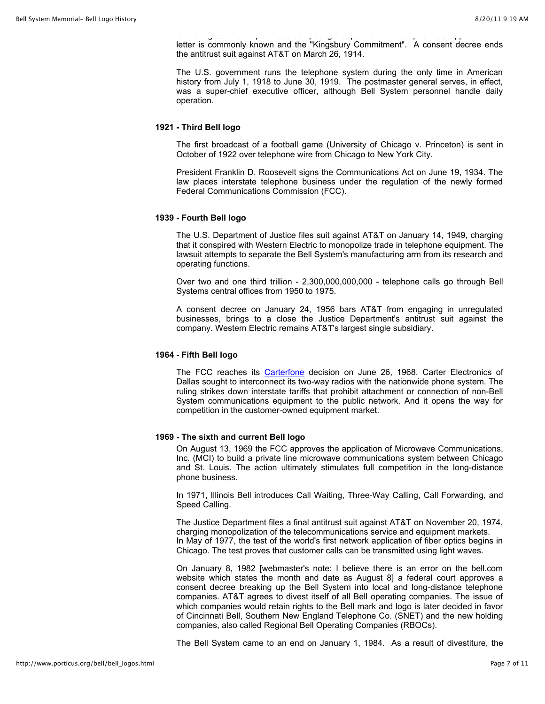further agrees not to purchase competing independent without prior ICC approval. This letter is commonly known and the "Kingsbury Commitment". A consent decree ends the antitrust suit against AT&T on March 26, 1914.

The U.S. government runs the telephone system during the only time in American history from July 1, 1918 to June 30, 1919. The postmaster general serves, in effect, was a super-chief executive officer, although Bell System personnel handle daily operation.

## **1921 - Third Bell logo**

The first broadcast of a football game (University of Chicago v. Princeton) is sent in October of 1922 over telephone wire from Chicago to New York City.

President Franklin D. Roosevelt signs the Communications Act on June 19, 1934. The law places interstate telephone business under the regulation of the newly formed Federal Communications Commission (FCC).

#### **1939 - Fourth Bell logo**

The U.S. Department of Justice files suit against AT&T on January 14, 1949, charging that it conspired with Western Electric to monopolize trade in telephone equipment. The lawsuit attempts to separate the Bell System's manufacturing arm from its research and operating functions.

Over two and one third trillion - 2,300,000,000,000 - telephone calls go through Bell Systems central offices from 1950 to 1975.

A consent decree on January 24, 1956 bars AT&T from engaging in unregulated businesses, brings to a close the Justice Department's antitrust suit against the company. Western Electric remains AT&T's largest single subsidiary.

#### **1964 - Fifth Bell logo**

The FCC reaches its Carterfone decision on June 26, 1968. Carter Electronics of Dallas sought to interconnect its two-way radios with the nationwide phone system. The ruling strikes down interstate tariffs that prohibit attachment or connection of non-Bell System communications equipment to the public network. And it opens the way for competition in the customer-owned equipment market.

### **1969 - The sixth and current Bell logo**

On August 13, 1969 the FCC approves the application of Microwave Communications, Inc. (MCI) to build a private line microwave communications system between Chicago and St. Louis. The action ultimately stimulates full competition in the long-distance phone business.

In 1971, Illinois Bell introduces Call Waiting, Three-Way Calling, Call Forwarding, and Speed Calling.

The Justice Department files a final antitrust suit against AT&T on November 20, 1974, charging monopolization of the telecommunications service and equipment markets. In May of 1977, the test of the world's first network application of fiber optics begins in Chicago. The test proves that customer calls can be transmitted using light waves.

On January 8, 1982 [webmaster's note: I believe there is an error on the bell.com website which states the month and date as August 8] a federal court approves a consent decree breaking up the Bell System into local and long-distance telephone companies. AT&T agrees to divest itself of all Bell operating companies. The issue of which companies would retain rights to the Bell mark and logo is later decided in favor of Cincinnati Bell, Southern New England Telephone Co. (SNET) and the new holding companies, also called Regional Bell Operating Companies (RBOCs).

The Bell System came to an end on January 1, 1984. As a result of divestiture, the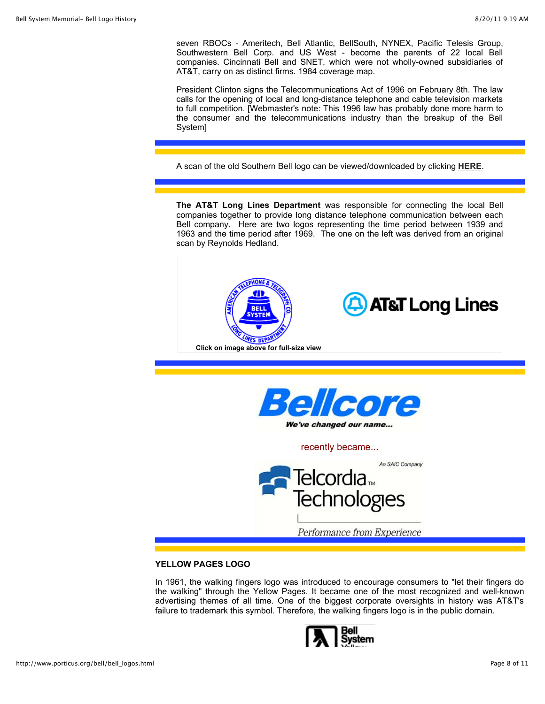seven RBOCs - Ameritech, Bell Atlantic, BellSouth, NYNEX, Pacific Telesis Group, Southwestern Bell Corp. and US West - become the parents of 22 local Bell companies. Cincinnati Bell and SNET, which were not wholly-owned subsidiaries of AT&T, carry on as distinct firms. 1984 coverage map.

President Clinton signs the Telecommunications Act of 1996 on February 8th. The law calls for the opening of local and long-distance telephone and cable television markets to full competition. [Webmaster's note: This 1996 law has probably done more harm to the consumer and the telecommunications industry than the breakup of the Bell System]

A scan of the old Southern Bell logo can be viewed/downloaded by clicking **HERE**.

**The AT&T Long Lines Department** was responsible for connecting the local Bell companies together to provide long distance telephone communication between each Bell company. Here are two logos representing the time period between 1939 and 1963 and the time period after 1969. The one on the left was derived from an original scan by Reynolds Hedland.





recently became...



# **YELLOW PAGES LOGO**

In 1961, the walking fingers logo was introduced to encourage consumers to "let their fingers do the walking" through the Yellow Pages. It became one of the most recognized and well-known advertising themes of all time. One of the biggest corporate oversights in history was AT&T's failure to trademark this symbol. Therefore, the walking fingers logo is in the public domain.

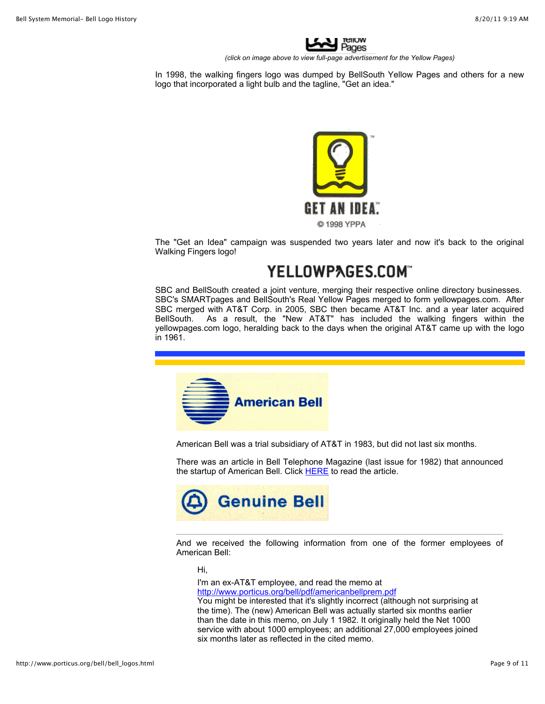

*(click on image above to view full-page advertisement for the Yellow Pages)*

In 1998, the walking fingers logo was dumped by BellSouth Yellow Pages and others for a new logo that incorporated a light bulb and the tagline, "Get an idea."



The "Get an Idea" campaign was suspended two years later and now it's back to the original Walking Fingers logo!

# YELLOWPAGES.COM

SBC and BellSouth created a joint venture, merging their respective online directory businesses. SBC's SMARTpages and BellSouth's Real Yellow Pages merged to form yellowpages.com. After SBC merged with AT&T Corp. in 2005, SBC then became AT&T Inc. and a year later acquired BellSouth. As a result, the "New AT&T" has included the walking fingers within the yellowpages.com logo, heralding back to the days when the original AT&T came up with the logo in 1961.



American Bell was a trial subsidiary of AT&T in 1983, but did not last six months.

There was an article in Bell Telephone Magazine (last issue for 1982) that announced the startup of American Bell. Click HERE to read the article.



And we received the following information from one of the former employees of American Bell:

Hi,

I'm an ex-AT&T employee, and read the memo at http://www.porticus.org/bell/pdf/americanbellprem.pdf

You might be interested that it's slightly incorrect (although not surprising at the time). The (new) American Bell was actually started six months earlier than the date in this memo, on July 1 1982. It originally held the Net 1000 service with about 1000 employees; an additional 27,000 employees joined six months later as reflected in the cited memo.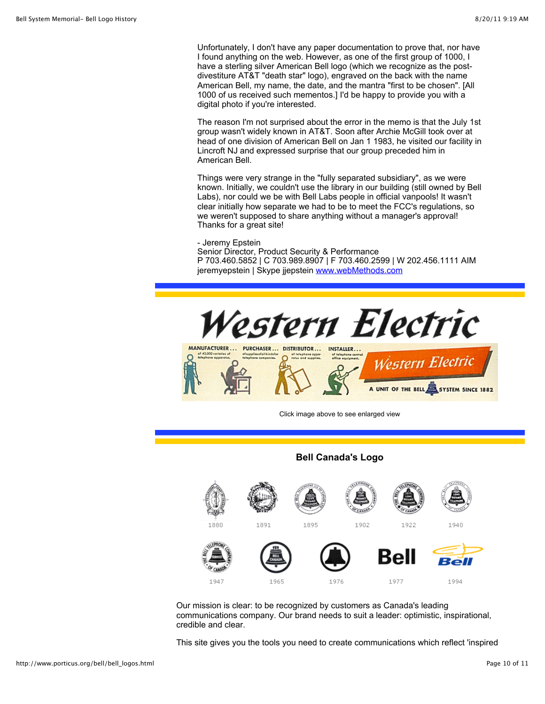Unfortunately, I don't have any paper documentation to prove that, nor have I found anything on the web. However, as one of the first group of 1000, I have a sterling silver American Bell logo (which we recognize as the postdivestiture AT&T "death star" logo), engraved on the back with the name American Bell, my name, the date, and the mantra "first to be chosen". [All 1000 of us received such mementos.] I'd be happy to provide you with a digital photo if you're interested.

The reason I'm not surprised about the error in the memo is that the July 1st group wasn't widely known in AT&T. Soon after Archie McGill took over at head of one division of American Bell on Jan 1 1983, he visited our facility in Lincroft NJ and expressed surprise that our group preceded him in American Bell.

Things were very strange in the "fully separated subsidiary", as we were known. Initially, we couldn't use the library in our building (still owned by Bell Labs), nor could we be with Bell Labs people in official vanpools! It wasn't clear initially how separate we had to be to meet the FCC's regulations, so we weren't supposed to share anything without a manager's approval! Thanks for a great site!

# - Jeremy Epstein

Senior Director, Product Security & Performance P 703.460.5852 | C 703.989.8907 | F 703.460.2599 | W 202.456.1111 AIM jeremyepstein | Skype jjepstein www.webMethods.com



Click image above to see enlarged view

**Bell Canada's Logo**



Our mission is clear: to be recognized by customers as Canada's leading communications company. Our brand needs to suit a leader: optimistic, inspirational, credible and clear.

This site gives you the tools you need to create communications which reflect 'inspired